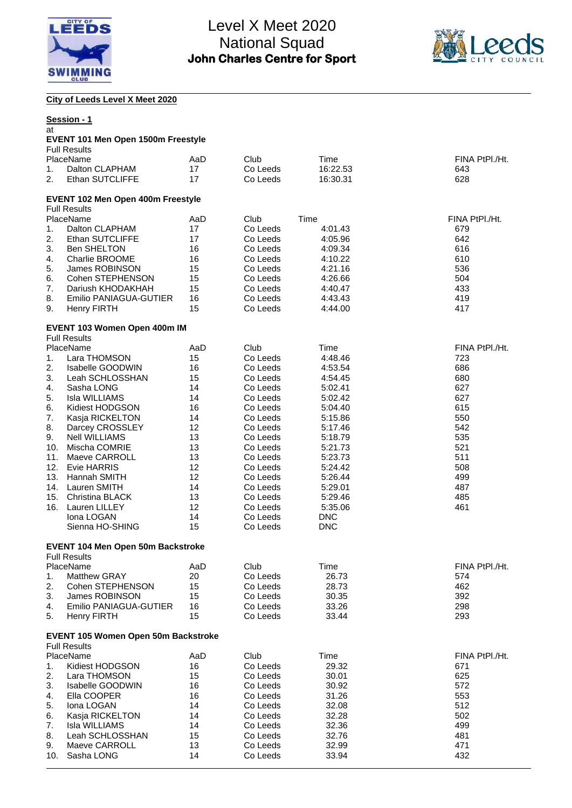



**City of Leeds Level X Meet 2020**

| at         | Session - 1                                                       |          |                      |                    |                |
|------------|-------------------------------------------------------------------|----------|----------------------|--------------------|----------------|
|            | <b>EVENT 101 Men Open 1500m Freestyle</b><br><b>Full Results</b>  |          |                      |                    |                |
|            | PlaceName                                                         | AaD      | Club                 | Time               | FINA PtPI./Ht. |
| 1.         | Dalton CLAPHAM                                                    | 17       | Co Leeds             | 16:22.53           | 643            |
| 2.         | Ethan SUTCLIFFE                                                   | 17       | Co Leeds             | 16:30.31           | 628            |
|            | EVENT 102 Men Open 400m Freestyle<br><b>Full Results</b>          |          |                      |                    |                |
|            | PlaceName                                                         | AaD      | Club                 | Time               | FINA PtPI./Ht. |
| 1.         | Dalton CLAPHAM                                                    | 17       | Co Leeds             | 4:01.43            | 679            |
| 2.         | Ethan SUTCLIFFE                                                   | 17       | Co Leeds             | 4:05.96            | 642            |
| 3.         | <b>Ben SHELTON</b>                                                | 16       | Co Leeds             | 4:09.34            | 616            |
| 4.         | Charlie BROOME                                                    | 16       | Co Leeds             | 4:10.22            | 610            |
| 5.         | James ROBINSON                                                    | 15       | Co Leeds             | 4:21.16            | 536            |
| 6.         | Cohen STEPHENSON                                                  | 15       | Co Leeds             | 4:26.66            | 504            |
| 7.         | Dariush KHODAKHAH                                                 | 15       | Co Leeds             | 4:40.47            | 433            |
| 8.         | Emilio PANIAGUA-GUTIER                                            | 16       | Co Leeds             | 4:43.43            | 419            |
| 9.         | <b>Henry FIRTH</b>                                                | 15       | Co Leeds             | 4:44.00            | 417            |
|            | EVENT 103 Women Open 400m IM<br><b>Full Results</b>               |          |                      |                    |                |
|            | PlaceName                                                         | AaD      | Club                 | Time               | FINA PtPI./Ht. |
| 1.         | Lara THOMSON                                                      | 15       | Co Leeds             | 4:48.46            | 723            |
| 2.         | Isabelle GOODWIN                                                  | 16       | Co Leeds             | 4:53.54            | 686            |
| 3.         | Leah SCHLOSSHAN                                                   | 15       | Co Leeds             | 4:54.45            | 680            |
| 4.         | Sasha LONG                                                        | 14       | Co Leeds             | 5:02.41            | 627            |
| 5.         | <b>Isla WILLIAMS</b>                                              | 14       | Co Leeds             | 5:02.42            | 627            |
| 6.         | Kidiest HODGSON                                                   | 16       | Co Leeds             | 5:04.40            | 615            |
| 7.         | Kasja RICKELTON                                                   | 14       | Co Leeds             | 5:15.86            | 550            |
| 8.         | Darcey CROSSLEY                                                   | 12       | Co Leeds             | 5:17.46            | 542            |
| 9.         | <b>Nell WILLIAMS</b>                                              | 13       | Co Leeds             | 5:18.79            | 535            |
| 10.        | Mischa COMRIE                                                     | 13       | Co Leeds             | 5:21.73            | 521            |
| 11.<br>12. | Maeve CARROLL<br><b>Evie HARRIS</b>                               | 13<br>12 | Co Leeds<br>Co Leeds | 5:23.73<br>5:24.42 | 511<br>508     |
| 13.        | Hannah SMITH                                                      | 12       | Co Leeds             | 5:26.44            | 499            |
|            | 14. Lauren SMITH                                                  | 14       | Co Leeds             | 5:29.01            | 487            |
| 15.        | Christina BLACK                                                   | 13       | Co Leeds             | 5:29.46            | 485            |
| 16.        | <b>Lauren LILLEY</b>                                              | 12       | Co Leeds             | 5:35.06            | 461            |
|            | Iona LOGAN                                                        | 14       | Co Leeds             | <b>DNC</b>         |                |
|            | Sienna HO-SHING                                                   | 15       | Co Leeds             | <b>DNC</b>         |                |
|            | <b>EVENT 104 Men Open 50m Backstroke</b>                          |          |                      |                    |                |
|            | <b>Full Results</b>                                               |          |                      |                    |                |
|            | PlaceName                                                         | AaD      | Club                 | Time               | FINA PtPI./Ht. |
| 1.         | Matthew GRAY<br>Cohen STEPHENSON                                  | 20       | Co Leeds             | 26.73              | 574            |
| 2.<br>3.   | James ROBINSON                                                    | 15<br>15 | Co Leeds<br>Co Leeds | 28.73              | 462<br>392     |
| 4.         | Emilio PANIAGUA-GUTIER                                            | 16       | Co Leeds             | 30.35<br>33.26     | 298            |
| 5.         | <b>Henry FIRTH</b>                                                | 15       | Co Leeds             | 33.44              | 293            |
|            | <b>EVENT 105 Women Open 50m Backstroke</b><br><b>Full Results</b> |          |                      |                    |                |
|            | PlaceName                                                         | AaD      | Club                 | Time               | FINA PtPI./Ht. |
| 1.         | Kidiest HODGSON                                                   | 16       | Co Leeds             | 29.32              | 671            |
| 2.         | Lara THOMSON                                                      | 15       | Co Leeds             | 30.01              | 625            |
| 3.         | Isabelle GOODWIN                                                  | 16       | Co Leeds             | 30.92              | 572            |
| 4.         | Ella COOPER                                                       | 16       | Co Leeds             | 31.26              | 553            |
| 5.         | Iona LOGAN                                                        | 14       | Co Leeds             | 32.08              | 512            |
| 6.         | Kasja RICKELTON                                                   | 14       | Co Leeds             | 32.28              | 502            |
| 7.         | Isla WILLIAMS                                                     | 14       | Co Leeds             | 32.36              | 499            |
| 8.         | Leah SCHLOSSHAN                                                   | 15       | Co Leeds             | 32.76              | 481            |
| 9.         | Maeve CARROLL                                                     | 13       | Co Leeds             | 32.99              | 471            |
| 10.        | Sasha LONG                                                        | 14       | Co Leeds             | 33.94              | 432            |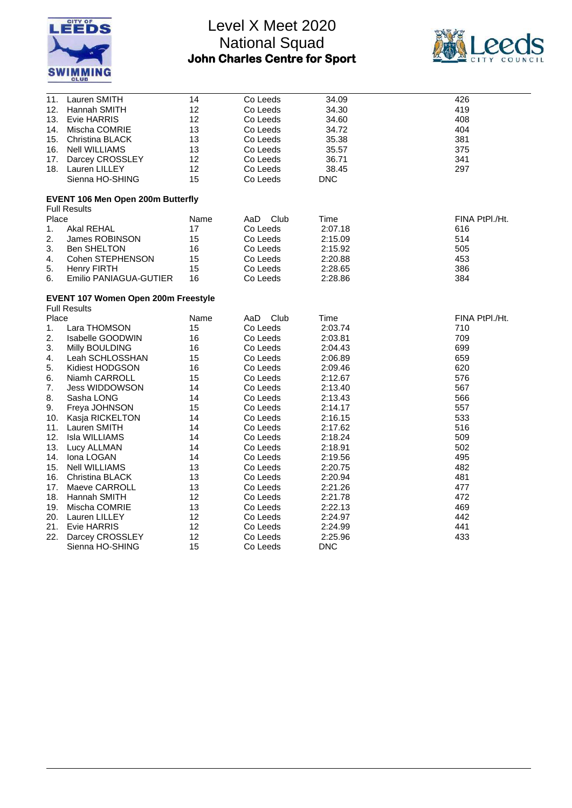



| 11.      | Lauren SMITH                               | 14       | Co Leeds             | 34.09              | 426            |
|----------|--------------------------------------------|----------|----------------------|--------------------|----------------|
| 12.      | Hannah SMITH                               | 12       | Co Leeds             | 34.30              | 419            |
|          | 13. Evie HARRIS                            | 12       | Co Leeds             | 34.60              | 408            |
|          | 14. Mischa COMRIE                          | 13       | Co Leeds             | 34.72              | 404            |
| 15.      | Christina BLACK                            | 13       | Co Leeds             | 35.38              | 381            |
|          | 16. Nell WILLIAMS                          | 13       | Co Leeds             | 35.57              | 375            |
|          | 17. Darcey CROSSLEY                        | 12       | Co Leeds             | 36.71              | 341            |
|          | 18. Lauren LILLEY                          | 12       | Co Leeds             | 38.45              | 297            |
|          | Sienna HO-SHING                            | 15       | Co Leeds             | <b>DNC</b>         |                |
|          | <b>EVENT 106 Men Open 200m Butterfly</b>   |          |                      |                    |                |
| Place    | <b>Full Results</b>                        | Name     | Club                 | Time               | FINA PtPI./Ht. |
|          | Akal REHAL                                 | 17       | AaD.                 |                    |                |
| 1.<br>2. | <b>James ROBINSON</b>                      | 15       | Co Leeds<br>Co Leeds | 2:07.18<br>2:15.09 | 616<br>514     |
| 3.       | <b>Ben SHELTON</b>                         | 16       |                      | 2:15.92            | 505            |
| 4.       | Cohen STEPHENSON                           | 15       | Co Leeds<br>Co Leeds | 2:20.88            | 453            |
| 5.       | <b>Henry FIRTH</b>                         | 15       | Co Leeds             | 2:28.65            | 386            |
| 6.       | Emilio PANIAGUA-GUTIER                     | 16       | Co Leeds             | 2:28.86            | 384            |
|          |                                            |          |                      |                    |                |
|          | <b>EVENT 107 Women Open 200m Freestyle</b> |          |                      |                    |                |
|          | <b>Full Results</b>                        |          |                      |                    |                |
| Place    |                                            | Name     | Club<br>AaD          | Time               | FINA PtPI./Ht. |
| 1.       | Lara THOMSON                               | 15       | Co Leeds             | 2:03.74            | 710            |
| 2.       | Isabelle GOODWIN                           | 16       | Co Leeds             | 2:03.81            | 709            |
| 3.       | Milly BOULDING                             | 16       | Co Leeds             | 2:04.43            | 699            |
| 4.       | Leah SCHLOSSHAN                            | 15       | Co Leeds             | 2:06.89            | 659            |
| 5.       | Kidiest HODGSON                            | 16       | Co Leeds             | 2:09.46            | 620            |
| 6.       | Niamh CARROLL                              | 15       | Co Leeds             | 2:12.67            | 576            |
| 7.       | <b>Jess WIDDOWSON</b>                      | 14<br>14 | Co Leeds             | 2:13.40            | 567            |
| 8.       | Sasha LONG                                 |          | Co Leeds             | 2:13.43            | 566            |
| 9.       | Freya JOHNSON                              | 15<br>14 | Co Leeds             | 2:14.17            | 557<br>533     |
|          | 10. Kasja RICKELTON                        |          | Co Leeds             | 2:16.15            |                |
| 12.      | 11. Lauren SMITH<br>Isla WILLIAMS          | 14<br>14 | Co Leeds             | 2:17.62            | 516<br>509     |
| 13.      |                                            | 14       | Co Leeds             | 2:18.24<br>2:18.91 | 502            |
| 14.      | Lucy ALLMAN<br>Iona LOGAN                  | 14       | Co Leeds<br>Co Leeds | 2:19.56            | 495            |
| 15.      | Nell WILLIAMS                              | 13       | Co Leeds             | 2:20.75            | 482            |
|          | 16. Christina BLACK                        | 13       | Co Leeds             | 2:20.94            | 481            |
| 17.      | Maeve CARROLL                              | 13       | Co Leeds             | 2:21.26            | 477            |
|          | 18. Hannah SMITH                           | 12       | Co Leeds             | 2:21.78            | 472            |
|          | 19. Mischa COMRIE                          | 13       | Co Leeds             | 2:22.13            | 469            |
| 20.      | Lauren LILLEY                              | 12       | Co Leeds             | 2:24.97            | 442            |
| 21.      | <b>Evie HARRIS</b>                         | 12       | Co Leeds             | 2:24.99            | 441            |
| 22.      | Darcey CROSSLEY                            | 12       | Co Leeds             | 2:25.96            | 433            |
|          | Sienna HO-SHING                            | 15       | Co Leeds             | <b>DNC</b>         |                |
|          |                                            |          |                      |                    |                |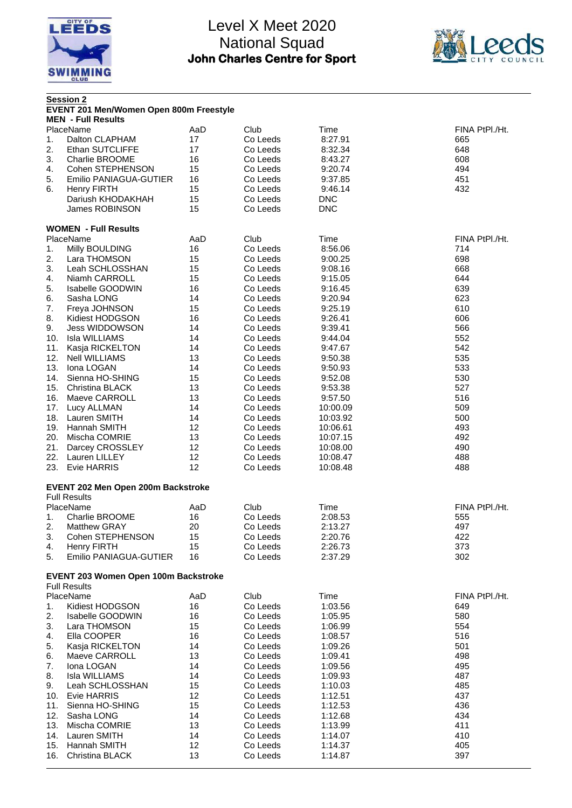



|            | <b>Session 2</b><br>EVENT 201 Men/Women Open 800m Freestyle |          |                      |                      |                |  |  |
|------------|-------------------------------------------------------------|----------|----------------------|----------------------|----------------|--|--|
|            | <b>MEN</b> - Full Results                                   |          |                      |                      |                |  |  |
|            | PlaceName                                                   | AaD      | Club                 | Time                 | FINA PtPI./Ht. |  |  |
| 1.         | Dalton CLAPHAM                                              | 17       | Co Leeds             | 8:27.91              | 665            |  |  |
| 2.         | Ethan SUTCLIFFE                                             | 17       | Co Leeds             | 8:32.34              | 648            |  |  |
| 3.         | Charlie BROOME                                              | 16       | Co Leeds             | 8:43.27              | 608            |  |  |
| 4.         | Cohen STEPHENSON                                            | 15       | Co Leeds             | 9:20.74              | 494            |  |  |
| 5.         | Emilio PANIAGUA-GUTIER                                      | 16       | Co Leeds             | 9:37.85              | 451            |  |  |
| 6.         | <b>Henry FIRTH</b>                                          | 15       | Co Leeds             | 9:46.14              | 432            |  |  |
|            | Dariush KHODAKHAH                                           | 15       | Co Leeds             | <b>DNC</b>           |                |  |  |
|            | James ROBINSON                                              | 15       | Co Leeds             | <b>DNC</b>           |                |  |  |
|            | <b>WOMEN - Full Results</b>                                 |          |                      |                      |                |  |  |
|            | PlaceName                                                   | AaD      | Club                 | Time                 | FINA PtPI./Ht. |  |  |
| 1.         | Milly BOULDING                                              | 16       | Co Leeds             | 8:56.06              | 714            |  |  |
| 2.         | Lara THOMSON                                                | 15       | Co Leeds             | 9:00.25              | 698            |  |  |
| 3.         | Leah SCHLOSSHAN                                             | 15       | Co Leeds             | 9:08.16              | 668            |  |  |
| 4.         | Niamh CARROLL                                               | 15       | Co Leeds             | 9:15.05              | 644            |  |  |
| 5.         | <b>Isabelle GOODWIN</b>                                     | 16       | Co Leeds             | 9:16.45              | 639            |  |  |
| 6.         | Sasha LONG                                                  | 14       | Co Leeds             | 9:20.94              | 623            |  |  |
| 7.         | Freya JOHNSON                                               | 15       | Co Leeds             | 9:25.19              | 610            |  |  |
| 8.         | Kidiest HODGSON                                             | 16       | Co Leeds             | 9:26.41              | 606            |  |  |
| 9.         | <b>Jess WIDDOWSON</b>                                       | 14       | Co Leeds             | 9:39.41              | 566            |  |  |
| 10.        | Isla WILLIAMS                                               | 14       | Co Leeds             | 9:44.04              | 552            |  |  |
| 11.        | Kasja RICKELTON                                             | 14       | Co Leeds             | 9:47.67              | 542            |  |  |
| 12.        | <b>Nell WILLIAMS</b>                                        | 13       | Co Leeds             | 9:50.38              | 535            |  |  |
| 13.        | Iona LOGAN                                                  | 14       | Co Leeds             | 9:50.93              | 533            |  |  |
| 14.        | Sienna HO-SHING                                             | 15       | Co Leeds             | 9:52.08              | 530            |  |  |
| 15.        | <b>Christina BLACK</b>                                      | 13       | Co Leeds             | 9:53.38              | 527            |  |  |
| 16.        | Maeve CARROLL                                               | 13       | Co Leeds             | 9:57.50              | 516            |  |  |
| 17.        | Lucy ALLMAN                                                 | 14       | Co Leeds             | 10:00.09             | 509            |  |  |
| 18.        | Lauren SMITH                                                | 14       | Co Leeds             | 10:03.92             | 500            |  |  |
| 19.        | Hannah SMITH                                                | 12       | Co Leeds             | 10:06.61             | 493            |  |  |
| 20.        | Mischa COMRIE                                               | 13<br>12 | Co Leeds             | 10:07.15             | 492            |  |  |
| 21.        | Darcey CROSSLEY                                             |          | Co Leeds             | 10:08.00             | 490            |  |  |
| 22.<br>23. | Lauren LILLEY<br>Evie HARRIS                                | 12<br>12 | Co Leeds<br>Co Leeds | 10:08.47<br>10:08.48 | 488<br>488     |  |  |
|            |                                                             |          |                      |                      |                |  |  |
|            | EVENT 202 Men Open 200m Backstroke<br><b>Full Results</b>   |          |                      |                      |                |  |  |
|            | PlaceName                                                   | AaD      | Club                 | Time                 | FINA PtPI./Ht. |  |  |
| 1.         | <b>Charlie BROOME</b>                                       | 16       | Co Leeds             | 2:08.53              | 555            |  |  |
| 2.         | <b>Matthew GRAY</b>                                         | 20       | Co Leeds             | 2:13.27              | 497            |  |  |
| 3.         | Cohen STEPHENSON                                            | 15       | Co Leeds             | 2:20.76              | 422            |  |  |
| 4.         | <b>Henry FIRTH</b>                                          | 15       | Co Leeds             | 2:26.73              | 373            |  |  |
| 5.         | Emilio PANIAGUA-GUTIER                                      | 16       | Co Leeds             | 2:37.29              | 302            |  |  |
|            | EVENT 203 Women Open 100m Backstroke                        |          |                      |                      |                |  |  |
|            | <b>Full Results</b>                                         |          |                      |                      |                |  |  |
|            | PlaceName                                                   | AaD      | Club                 | Time                 | FINA PtPI./Ht. |  |  |
| 1.         | Kidiest HODGSON                                             | 16       | Co Leeds             | 1:03.56              | 649            |  |  |
| 2.         | <b>Isabelle GOODWIN</b>                                     | 16       | Co Leeds             | 1:05.95              | 580            |  |  |
| 3.         | Lara THOMSON                                                | 15       | Co Leeds             | 1:06.99              | 554            |  |  |
| 4.         | Ella COOPER                                                 | 16       | Co Leeds             | 1:08.57              | 516            |  |  |
| 5.         | Kasja RICKELTON                                             | 14       | Co Leeds             | 1:09.26              | 501            |  |  |
| 6.         | Maeve CARROLL                                               | 13       | Co Leeds             | 1:09.41              | 498            |  |  |
| 7.         | Iona LOGAN                                                  | 14       | Co Leeds             | 1:09.56              | 495            |  |  |
| 8.         | Isla WILLIAMS                                               | 14       | Co Leeds             | 1:09.93              | 487            |  |  |
| 9.         | Leah SCHLOSSHAN                                             | 15       | Co Leeds             | 1:10.03              | 485            |  |  |
| 10.        | Evie HARRIS                                                 | 12       | Co Leeds             | 1:12.51              | 437            |  |  |
| 11.        | Sienna HO-SHING                                             | 15       | Co Leeds             | 1:12.53              | 436            |  |  |
| 12.        | Sasha LONG                                                  | 14       | Co Leeds             | 1:12.68              | 434            |  |  |
| 13.        | Mischa COMRIE                                               | 13       | Co Leeds             | 1:13.99              | 411            |  |  |
| 15.        | 14. Lauren SMITH<br>Hannah SMITH                            | 14<br>12 | Co Leeds<br>Co Leeds | 1:14.07              | 410<br>405     |  |  |
| 16.        | Christina BLACK                                             | 13       | Co Leeds             | 1:14.37<br>1:14.87   | 397            |  |  |
|            |                                                             |          |                      |                      |                |  |  |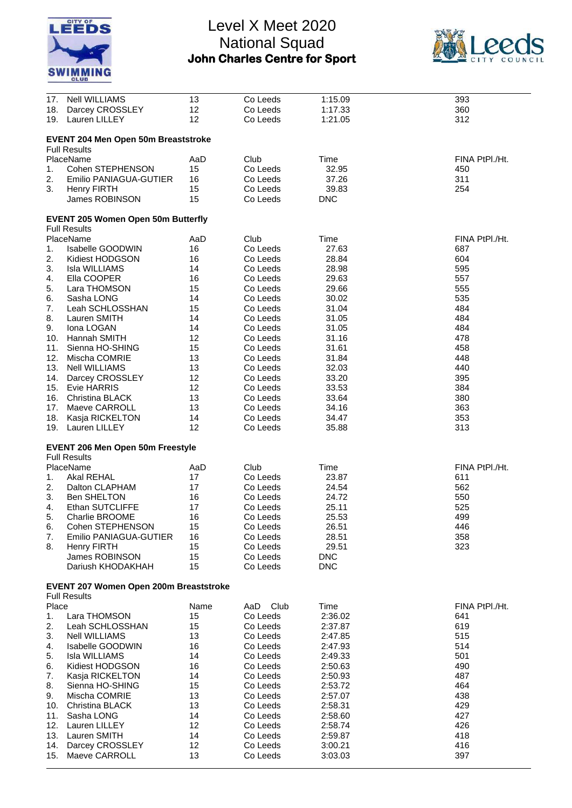



| 17.   | <b>Nell WILLIAMS</b>                       | 13   | Co Leeds    | 1:15.09    | 393            |
|-------|--------------------------------------------|------|-------------|------------|----------------|
| 18.   | Darcey CROSSLEY                            | 12   | Co Leeds    | 1:17.33    | 360            |
|       |                                            |      |             |            |                |
| 19.   | Lauren LILLEY                              | 12   | Co Leeds    | 1:21.05    | 312            |
|       |                                            |      |             |            |                |
|       | <b>EVENT 204 Men Open 50m Breaststroke</b> |      |             |            |                |
|       |                                            |      |             |            |                |
|       | <b>Full Results</b>                        |      |             |            |                |
|       | PlaceName                                  | AaD  | Club        | Time       | FINA PtPI./Ht. |
| 1.    | Cohen STEPHENSON                           | 15   | Co Leeds    | 32.95      | 450            |
|       |                                            |      |             |            |                |
| 2.    | Emilio PANIAGUA-GUTIER                     | 16   | Co Leeds    | 37.26      | 311            |
| 3.    | <b>Henry FIRTH</b>                         | 15   | Co Leeds    | 39.83      | 254            |
|       | James ROBINSON                             | 15   | Co Leeds    | <b>DNC</b> |                |
|       |                                            |      |             |            |                |
|       |                                            |      |             |            |                |
|       | <b>EVENT 205 Women Open 50m Butterfly</b>  |      |             |            |                |
|       | <b>Full Results</b>                        |      |             |            |                |
|       | PlaceName                                  | AaD  | Club        | Time       | FINA PtPI./Ht. |
|       |                                            |      |             |            |                |
| 1.    | <b>Isabelle GOODWIN</b>                    | 16   | Co Leeds    | 27.63      | 687            |
| 2.    | Kidiest HODGSON                            | 16   | Co Leeds    | 28.84      | 604            |
| 3.    | Isla WILLIAMS                              | 14   | Co Leeds    | 28.98      | 595            |
| 4.    | Ella COOPER                                | 16   | Co Leeds    | 29.63      | 557            |
|       |                                            |      |             |            |                |
| 5.    | Lara THOMSON                               | 15   | Co Leeds    | 29.66      | 555            |
| 6.    | Sasha LONG                                 | 14   | Co Leeds    | 30.02      | 535            |
| 7.    | Leah SCHLOSSHAN                            | 15   | Co Leeds    | 31.04      | 484            |
| 8.    | Lauren SMITH                               | 14   | Co Leeds    | 31.05      | 484            |
|       |                                            |      |             |            |                |
| 9.    | Iona LOGAN                                 | 14   | Co Leeds    | 31.05      | 484            |
| 10.   | Hannah SMITH                               | 12   | Co Leeds    | 31.16      | 478            |
| 11.   | Sienna HO-SHING                            | 15   | Co Leeds    | 31.61      | 458            |
|       |                                            |      |             |            |                |
| 12.   | Mischa COMRIE                              | 13   | Co Leeds    | 31.84      | 448            |
| 13.   | <b>Nell WILLIAMS</b>                       | 13   | Co Leeds    | 32.03      | 440            |
| 14.   | Darcey CROSSLEY                            | 12   | Co Leeds    | 33.20      | 395            |
| 15.   | Evie HARRIS                                | 12   | Co Leeds    | 33.53      | 384            |
|       |                                            |      |             |            |                |
| 16.   | <b>Christina BLACK</b>                     | 13   | Co Leeds    | 33.64      | 380            |
| 17.   | Maeve CARROLL                              | 13   | Co Leeds    | 34.16      | 363            |
| 18.   | Kasja RICKELTON                            | 14   | Co Leeds    | 34.47      | 353            |
|       |                                            |      |             |            |                |
| 19.   | Lauren LILLEY                              | 12   | Co Leeds    | 35.88      | 313            |
|       |                                            |      |             |            |                |
|       | <b>EVENT 206 Men Open 50m Freestyle</b>    |      |             |            |                |
|       | <b>Full Results</b>                        |      |             |            |                |
|       |                                            |      |             |            |                |
|       | PlaceName                                  | AaD  | Club        | Time       | FINA PtPI./Ht. |
| 1.    | Akal REHAL                                 | 17   | Co Leeds    | 23.87      | 611            |
| 2.    | Dalton CLAPHAM                             | 17   | Co Leeds    | 24.54      | 562            |
|       |                                            |      |             |            |                |
| 3.    | <b>Ben SHELTON</b>                         | 16   | Co Leeds    | 24.72      | 550            |
| 4.    | <b>Ethan SUTCLIFFE</b>                     | 17   | Co Leeds    | 25.11      | 525            |
| 5.    | Charlie BROOME                             | 16   | Co Leeds    | 25.53      | 499            |
| 6.    | Cohen STEPHENSON                           | 15   | Co Leeds    | 26.51      | 446            |
|       |                                            |      |             |            |                |
| 7.    | Emilio PANIAGUA-GUTIER                     | 16   | Co Leeds    | 28.51      | 358            |
| 8.    | Henry FIRTH                                | 15   | Co Leeds    | 29.51      | 323            |
|       | James ROBINSON                             | 15   | Co Leeds    | <b>DNC</b> |                |
|       |                                            |      |             |            |                |
|       | Dariush KHODAKHAH                          | 15   | Co Leeds    | <b>DNC</b> |                |
|       |                                            |      |             |            |                |
|       | EVENT 207 Women Open 200m Breaststroke     |      |             |            |                |
|       | <b>Full Results</b>                        |      |             |            |                |
| Place |                                            |      |             |            |                |
|       |                                            | Name | Club<br>AaD | Time       | FINA PtPI./Ht. |
| 1.    | Lara THOMSON                               | 15   | Co Leeds    | 2:36.02    | 641            |
| 2.    | Leah SCHLOSSHAN                            | 15   | Co Leeds    | 2:37.87    | 619            |
| 3.    | <b>Nell WILLIAMS</b>                       | 13   | Co Leeds    | 2:47.85    | 515            |
|       |                                            |      |             |            |                |
| 4.    | <b>Isabelle GOODWIN</b>                    | 16   | Co Leeds    | 2:47.93    | 514            |
| 5.    | <b>Isla WILLIAMS</b>                       | 14   | Co Leeds    | 2:49.33    | 501            |
| 6.    | Kidiest HODGSON                            | 16   | Co Leeds    | 2:50.63    | 490            |
|       |                                            |      |             |            |                |
| 7.    | Kasja RICKELTON                            | 14   | Co Leeds    | 2:50.93    | 487            |
| 8.    | Sienna HO-SHING                            | 15   | Co Leeds    | 2:53.72    | 464            |
| 9.    | Mischa COMRIE                              | 13   | Co Leeds    | 2:57.07    | 438            |
| 10.   | <b>Christina BLACK</b>                     | 13   | Co Leeds    | 2:58.31    | 429            |
|       |                                            |      |             |            |                |
| 11.   | Sasha LONG                                 | 14   | Co Leeds    | 2:58.60    | 427            |
| 12.   | Lauren LILLEY                              | 12   | Co Leeds    | 2:58.74    | 426            |
| 13.   | Lauren SMITH                               | 14   | Co Leeds    | 2:59.87    | 418            |
|       |                                            |      |             |            |                |
| 14.   | Darcey CROSSLEY                            | 12   | Co Leeds    | 3:00.21    | 416            |
| 15.   | Maeve CARROLL                              | 13   | Co Leeds    | 3:03.03    | 397            |
|       |                                            |      |             |            |                |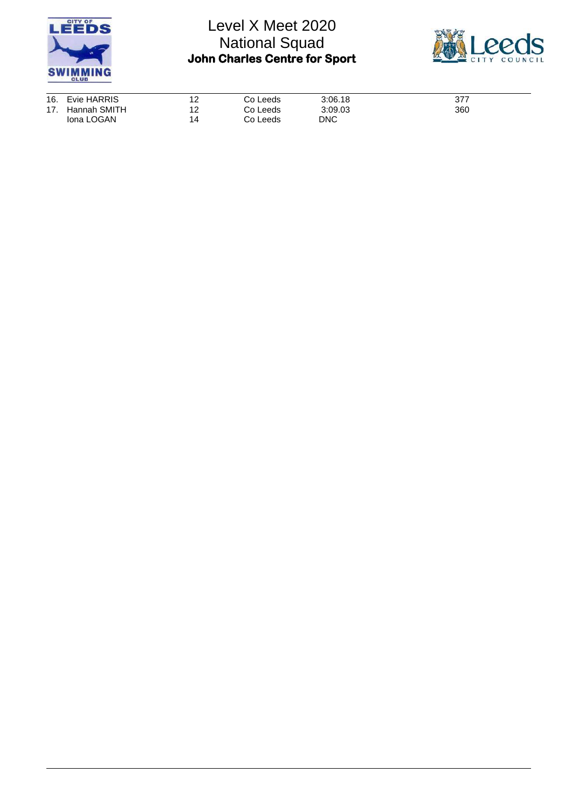



| 16. Evie HARRIS  | 12<br><u>.</u> | Co Leeds | 3:06.18    | 377 |
|------------------|----------------|----------|------------|-----|
| 17. Hannah SMITH | 12             | Co Leeds | 3:09.03    | 360 |
| Iona LOGAN       | 14             | Co Leeds | <b>DNC</b> |     |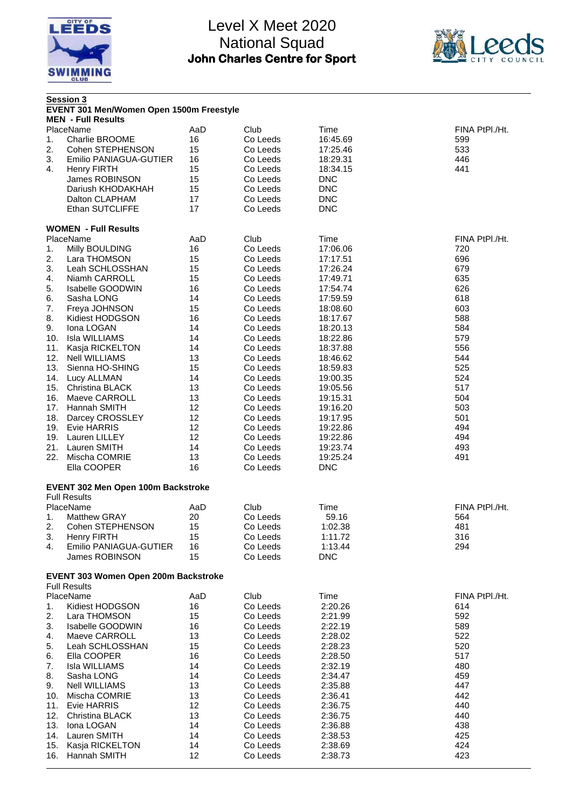



|     | <b>Session 3</b><br>EVENT 301 Men/Women Open 1500m Freestyle<br><b>MEN - Full Results</b> |     |          |            |                |
|-----|-------------------------------------------------------------------------------------------|-----|----------|------------|----------------|
|     | PlaceName                                                                                 | AaD | Club     | Time       | FINA PtPI./Ht. |
| 1.  | Charlie BROOME                                                                            | 16  | Co Leeds | 16:45.69   | 599            |
|     |                                                                                           |     |          |            |                |
| 2.  | Cohen STEPHENSON                                                                          | 15  | Co Leeds | 17:25.46   | 533            |
| 3.  | Emilio PANIAGUA-GUTIER                                                                    | 16  | Co Leeds | 18:29.31   | 446            |
| 4.  | <b>Henry FIRTH</b>                                                                        | 15  | Co Leeds | 18:34.15   | 441            |
|     | James ROBINSON                                                                            | 15  | Co Leeds | <b>DNC</b> |                |
|     | Dariush KHODAKHAH                                                                         | 15  | Co Leeds | <b>DNC</b> |                |
|     | Dalton CLAPHAM                                                                            | 17  | Co Leeds | <b>DNC</b> |                |
|     | Ethan SUTCLIFFE                                                                           | 17  | Co Leeds | <b>DNC</b> |                |
|     |                                                                                           |     |          |            |                |
|     | <b>WOMEN - Full Results</b>                                                               |     |          |            |                |
|     | PlaceName                                                                                 | AaD | Club     | Time       | FINA PtPI./Ht. |
| 1.  | Milly BOULDING                                                                            | 16  | Co Leeds | 17:06.06   | 720            |
| 2.  | Lara THOMSON                                                                              | 15  | Co Leeds | 17:17.51   | 696            |
| 3.  | Leah SCHLOSSHAN                                                                           | 15  | Co Leeds | 17:26.24   | 679            |
| 4.  | Niamh CARROLL                                                                             | 15  | Co Leeds | 17:49.71   | 635            |
| 5.  | <b>Isabelle GOODWIN</b>                                                                   | 16  | Co Leeds | 17:54.74   | 626            |
|     |                                                                                           |     |          |            |                |
| 6.  | Sasha LONG                                                                                | 14  | Co Leeds | 17:59.59   | 618            |
| 7.  | Freya JOHNSON                                                                             | 15  | Co Leeds | 18:08.60   | 603            |
| 8.  | Kidiest HODGSON                                                                           | 16  | Co Leeds | 18:17.67   | 588            |
| 9.  | Iona LOGAN                                                                                | 14  | Co Leeds | 18:20.13   | 584            |
| 10. | <b>Isla WILLIAMS</b>                                                                      | 14  | Co Leeds | 18:22.86   | 579            |
| 11. | Kasja RICKELTON                                                                           | 14  | Co Leeds | 18:37.88   | 556            |
| 12. | <b>Nell WILLIAMS</b>                                                                      | 13  | Co Leeds | 18:46.62   | 544            |
| 13. | Sienna HO-SHING                                                                           | 15  | Co Leeds | 18:59.83   | 525            |
|     | 14. Lucy ALLMAN                                                                           | 14  | Co Leeds | 19:00.35   | 524            |
|     | 15. Christina BLACK                                                                       | 13  | Co Leeds | 19:05.56   | 517            |
| 16. | Maeve CARROLL                                                                             | 13  | Co Leeds |            | 504            |
|     |                                                                                           |     |          | 19:15.31   |                |
|     | 17. Hannah SMITH                                                                          | 12  | Co Leeds | 19:16.20   | 503            |
| 18. | Darcey CROSSLEY                                                                           | 12  | Co Leeds | 19:17.95   | 501            |
|     | 19. Evie HARRIS                                                                           | 12  | Co Leeds | 19:22.86   | 494            |
| 19. | Lauren LILLEY                                                                             | 12  | Co Leeds | 19:22.86   | 494            |
| 21. | Lauren SMITH                                                                              | 14  | Co Leeds | 19:23.74   | 493            |
| 22. | Mischa COMRIE                                                                             | 13  | Co Leeds | 19:25.24   | 491            |
|     | Ella COOPER                                                                               | 16  | Co Leeds | <b>DNC</b> |                |
|     | EVENT 302 Men Open 100m Backstroke<br><b>Full Results</b>                                 |     |          |            |                |
|     | PlaceName                                                                                 | AaD | Club     | Time       | FINA PtPI./Ht. |
|     | <b>Matthew GRAY</b>                                                                       | 20  | Co Leeds | 59.16      | 564            |
| 1.  |                                                                                           |     |          |            |                |
| 2.  | Cohen STEPHENSON                                                                          | 15  | Co Leeds | 1:02.38    | 481            |
| 3.  | <b>Henry FIRTH</b>                                                                        | 15  | Co Leeds | 1:11.72    | 316            |
| 4.  | Emilio PANIAGUA-GUTIER                                                                    | 16  | Co Leeds | 1:13.44    | 294            |
|     | James ROBINSON                                                                            | 15  | Co Leeds | <b>DNC</b> |                |
|     | EVENT 303 Women Open 200m Backstroke<br><b>Full Results</b>                               |     |          |            |                |
|     | PlaceName                                                                                 | AaD | Club     | Time       | FINA PtPI./Ht. |
| 1.  | Kidiest HODGSON                                                                           | 16  | Co Leeds | 2:20.26    | 614            |
| 2.  | Lara THOMSON                                                                              | 15  | Co Leeds |            | 592            |
|     |                                                                                           |     |          | 2:21.99    |                |
| 3.  | Isabelle GOODWIN                                                                          | 16  | Co Leeds | 2:22.19    | 589            |
| 4.  | Maeve CARROLL                                                                             | 13  | Co Leeds | 2:28.02    | 522            |
| 5.  | Leah SCHLOSSHAN                                                                           | 15  | Co Leeds | 2:28.23    | 520            |
| 6.  | Ella COOPER                                                                               | 16  | Co Leeds | 2:28.50    | 517            |
| 7.  | <b>Isla WILLIAMS</b>                                                                      | 14  | Co Leeds | 2:32.19    | 480            |
| 8.  | Sasha LONG                                                                                | 14  | Co Leeds | 2:34.47    | 459            |
| 9.  | <b>Nell WILLIAMS</b>                                                                      | 13  | Co Leeds | 2:35.88    | 447            |
| 10. | Mischa COMRIE                                                                             | 13  | Co Leeds | 2:36.41    | 442            |
| 11. | <b>Evie HARRIS</b>                                                                        | 12  | Co Leeds | 2:36.75    | 440            |
| 12. | <b>Christina BLACK</b>                                                                    | 13  | Co Leeds | 2:36.75    | 440            |
| 13. | Iona LOGAN                                                                                | 14  | Co Leeds | 2:36.88    | 438            |
|     |                                                                                           |     |          |            |                |
| 14. | Lauren SMITH                                                                              | 14  | Co Leeds | 2:38.53    | 425            |
| 15. | Kasja RICKELTON                                                                           | 14  | Co Leeds | 2:38.69    | 424            |
| 16. | Hannah SMITH                                                                              | 12  | Co Leeds | 2:38.73    | 423            |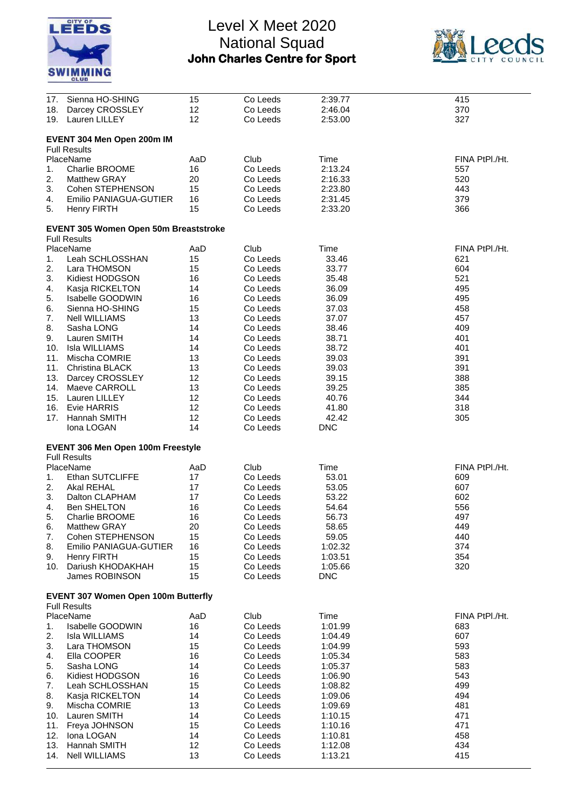



| 17. | Sienna HO-SHING                              | 15  | Co Leeds | 2:39.77    | 415            |
|-----|----------------------------------------------|-----|----------|------------|----------------|
|     |                                              |     |          |            |                |
| 18. | Darcey CROSSLEY                              | 12  | Co Leeds | 2:46.04    | 370            |
| 19. | Lauren LILLEY                                | 12  | Co Leeds | 2:53.00    | 327            |
|     |                                              |     |          |            |                |
|     |                                              |     |          |            |                |
|     | EVENT 304 Men Open 200m IM                   |     |          |            |                |
|     | <b>Full Results</b>                          |     |          |            |                |
|     |                                              |     |          |            |                |
|     | PlaceName                                    | AaD | Club     | Time       | FINA PtPI./Ht. |
| 1.  | <b>Charlie BROOME</b>                        | 16  | Co Leeds | 2:13.24    | 557            |
|     |                                              |     |          |            |                |
| 2.  | <b>Matthew GRAY</b>                          | 20  | Co Leeds | 2:16.33    | 520            |
| 3.  | Cohen STEPHENSON                             | 15  | Co Leeds | 2:23.80    | 443            |
|     |                                              |     |          |            |                |
| 4.  | Emilio PANIAGUA-GUTIER                       | 16  | Co Leeds | 2:31.45    | 379            |
| 5.  | <b>Henry FIRTH</b>                           | 15  | Co Leeds | 2:33.20    | 366            |
|     |                                              |     |          |            |                |
|     |                                              |     |          |            |                |
|     | <b>EVENT 305 Women Open 50m Breaststroke</b> |     |          |            |                |
|     | <b>Full Results</b>                          |     |          |            |                |
|     |                                              |     |          |            |                |
|     | PlaceName                                    | AaD | Club     | Time       | FINA PtPI./Ht. |
| 1.  | Leah SCHLOSSHAN                              | 15  | Co Leeds | 33.46      | 621            |
|     |                                              |     |          |            |                |
| 2.  | Lara THOMSON                                 | 15  | Co Leeds | 33.77      | 604            |
| 3.  | Kidiest HODGSON                              | 16  | Co Leeds | 35.48      | 521            |
|     |                                              |     |          |            |                |
| 4.  | Kasja RICKELTON                              | 14  | Co Leeds | 36.09      | 495            |
| 5.  | Isabelle GOODWIN                             | 16  | Co Leeds | 36.09      | 495            |
|     | Sienna HO-SHING                              | 15  | Co Leeds | 37.03      | 458            |
| 6.  |                                              |     |          |            |                |
| 7.  | <b>Nell WILLIAMS</b>                         | 13  | Co Leeds | 37.07      | 457            |
| 8.  | Sasha LONG                                   | 14  | Co Leeds | 38.46      | 409            |
|     |                                              |     |          |            |                |
| 9.  | Lauren SMITH                                 | 14  | Co Leeds | 38.71      | 401            |
| 10. | <b>Isla WILLIAMS</b>                         | 14  | Co Leeds | 38.72      | 401            |
|     |                                              |     |          |            |                |
| 11. | Mischa COMRIE                                | 13  | Co Leeds | 39.03      | 391            |
| 11. | Christina BLACK                              | 13  | Co Leeds | 39.03      | 391            |
|     |                                              |     |          |            |                |
| 13. | Darcey CROSSLEY                              | 12  | Co Leeds | 39.15      | 388            |
| 14. | Maeve CARROLL                                | 13  | Co Leeds | 39.25      | 385            |
| 15. | Lauren LILLEY                                | 12  | Co Leeds | 40.76      | 344            |
|     |                                              |     |          |            |                |
| 16. | Evie HARRIS                                  | 12  | Co Leeds | 41.80      | 318            |
| 17. | Hannah SMITH                                 | 12  | Co Leeds | 42.42      | 305            |
|     |                                              |     |          |            |                |
|     | Iona LOGAN                                   | 14  | Co Leeds | <b>DNC</b> |                |
|     |                                              |     |          |            |                |
|     |                                              |     |          |            |                |
|     | EVENT 306 Men Open 100m Freestyle            |     |          |            |                |
|     | <b>Full Results</b>                          |     |          |            |                |
|     |                                              |     |          |            |                |
|     | PlaceName                                    | AaD | Club     | Time       | FINA PtPI./Ht. |
| 1.  | Ethan SUTCLIFFE                              | 17  | Co Leeds | 53.01      | 609            |
| 2.  | <b>Akal REHAL</b>                            | 17  | Co Leeds | 53.05      | 607            |
|     |                                              |     |          |            |                |
| 3.  | Dalton CLAPHAM                               | 17  | Co Leeds | 53.22      | 602            |
| 4.  | <b>Ben SHELTON</b>                           | 16  | Co Leeds | 54.64      | 556            |
|     |                                              |     |          |            |                |
| 5.  | Charlie BROOME                               | 16  | Co Leeds | 56.73      | 497            |
| 6.  | Matthew GRAY                                 | 20  | Co Leeds | 58.65      | 449            |
|     |                                              |     |          |            |                |
| 7.  | Cohen STEPHENSON                             | 15  | Co Leeds | 59.05      | 440            |
| 8.  | Emilio PANIAGUA-GUTIER                       | 16  | Co Leeds | 1:02.32    | 374            |
| 9.  | <b>Henry FIRTH</b>                           | 15  | Co Leeds | 1:03.51    | 354            |
|     |                                              |     |          |            |                |
| 10. | Dariush KHODAKHAH                            | 15  | Co Leeds | 1:05.66    | 320            |
|     | James ROBINSON                               | 15  | Co Leeds | <b>DNC</b> |                |
|     |                                              |     |          |            |                |
|     |                                              |     |          |            |                |
|     | <b>EVENT 307 Women Open 100m Butterfly</b>   |     |          |            |                |
|     | <b>Full Results</b>                          |     |          |            |                |
|     |                                              |     |          |            |                |
|     | PlaceName                                    | AaD | Club     | Time       | FINA PtPI./Ht. |
| 1.  | <b>Isabelle GOODWIN</b>                      | 16  | Co Leeds | 1:01.99    | 683            |
|     |                                              |     |          |            |                |
| 2.  | <b>Isla WILLIAMS</b>                         | 14  | Co Leeds | 1:04.49    | 607            |
| 3.  | Lara THOMSON                                 | 15  | Co Leeds | 1:04.99    | 593            |
|     |                                              |     |          |            |                |
| 4.  | Ella COOPER                                  | 16  | Co Leeds | 1:05.34    | 583            |
| 5.  | Sasha LONG                                   | 14  | Co Leeds | 1:05.37    | 583            |
|     |                                              |     |          |            |                |
| 6.  | Kidiest HODGSON                              | 16  | Co Leeds | 1:06.90    | 543            |
| 7.  | Leah SCHLOSSHAN                              | 15  | Co Leeds | 1:08.82    | 499            |
|     |                                              | 14  |          |            | 494            |
| 8.  | Kasja RICKELTON                              |     | Co Leeds | 1:09.06    |                |
| 9.  | Mischa COMRIE                                | 13  | Co Leeds | 1:09.69    | 481            |
| 10. | Lauren SMITH                                 | 14  | Co Leeds | 1:10.15    | 471            |
|     |                                              |     |          |            |                |
| 11. | Freya JOHNSON                                | 15  | Co Leeds | 1:10.16    | 471            |
| 12. | Iona LOGAN                                   | 14  | Co Leeds | 1:10.81    | 458            |
|     |                                              |     |          |            |                |
| 13. | Hannah SMITH                                 | 12  | Co Leeds | 1:12.08    | 434            |
| 14. | <b>Nell WILLIAMS</b>                         | 13  | Co Leeds | 1:13.21    | 415            |
|     |                                              |     |          |            |                |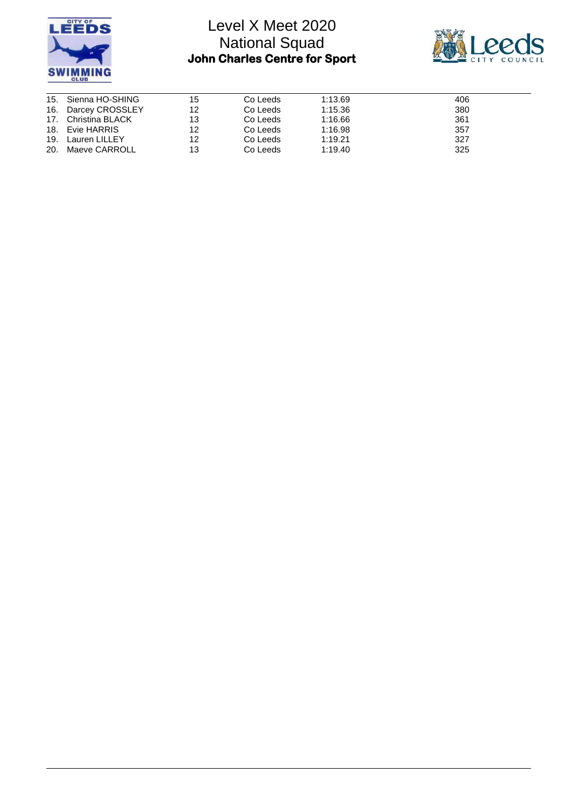



| 15. Sienna HO-SHING | 15 | Co Leeds | 1:13.69 | 406 |
|---------------------|----|----------|---------|-----|
| 16. Darcey CROSSLEY | 12 | Co Leeds | 1:15.36 | 380 |
| 17. Christina BLACK | 13 | Co Leeds | 1:16.66 | 361 |
| 18. Evie HARRIS     | 12 | Co Leeds | 1:16.98 | 357 |
| 19. Lauren LILLEY   | 12 | Co Leeds | 1:19.21 | 327 |
| 20. Maeve CARROLL   | 13 | Co Leeds | 1:19.40 | 325 |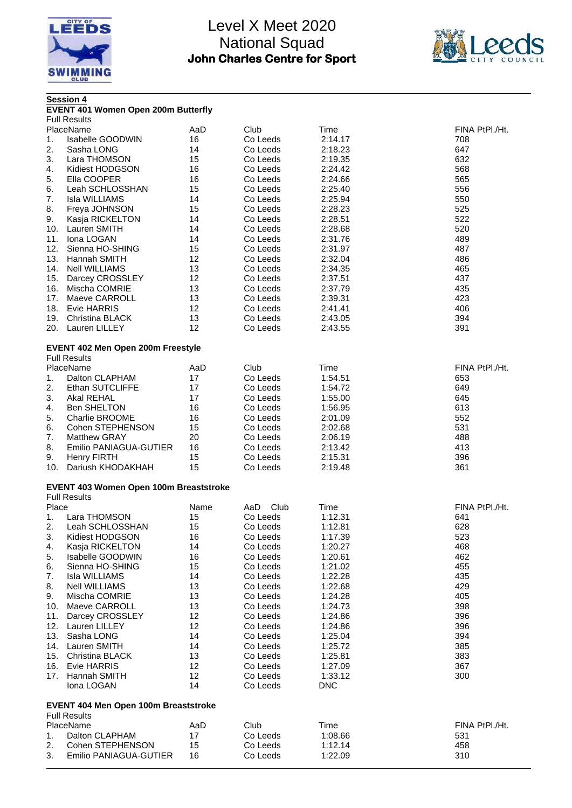



|       | <b>EVENT 401 Women Open 200m Butterfly</b><br><b>Full Results</b><br>PlaceName |      |             |         |                |
|-------|--------------------------------------------------------------------------------|------|-------------|---------|----------------|
|       |                                                                                |      |             |         |                |
|       |                                                                                |      |             |         |                |
|       |                                                                                | AaD  | Club        | Time    | FINA PtPI./Ht. |
| 1.    | <b>Isabelle GOODWIN</b>                                                        | 16   | Co Leeds    | 2:14.17 | 708            |
| 2.    | Sasha LONG                                                                     | 14   | Co Leeds    | 2:18.23 | 647            |
| 3.    | Lara THOMSON                                                                   | 15   | Co Leeds    | 2:19.35 | 632            |
| 4.    | Kidiest HODGSON                                                                | 16   | Co Leeds    | 2:24.42 | 568            |
| 5.    | Ella COOPER                                                                    | 16   | Co Leeds    | 2:24.66 | 565            |
| 6.    | Leah SCHLOSSHAN                                                                | 15   | Co Leeds    | 2:25.40 | 556            |
| 7.    | <b>Isla WILLIAMS</b>                                                           | 14   | Co Leeds    | 2:25.94 | 550            |
| 8.    | Freya JOHNSON                                                                  | 15   | Co Leeds    | 2:28.23 | 525            |
| 9.    | Kasja RICKELTON                                                                | 14   | Co Leeds    | 2:28.51 | 522            |
|       | 10. Lauren SMITH                                                               | 14   | Co Leeds    | 2:28.68 | 520            |
| 11.   | Iona LOGAN                                                                     | 14   | Co Leeds    | 2:31.76 | 489            |
| 12.   | Sienna HO-SHING                                                                | 15   | Co Leeds    | 2:31.97 | 487            |
| 13.   | Hannah SMITH                                                                   | 12   | Co Leeds    | 2:32.04 | 486            |
|       | 14. Nell WILLIAMS                                                              | 13   | Co Leeds    | 2:34.35 | 465            |
| 15.   | Darcey CROSSLEY                                                                | 12   | Co Leeds    | 2:37.51 | 437            |
| 16.   | Mischa COMRIE                                                                  | 13   | Co Leeds    | 2:37.79 | 435            |
| 17.   | Maeve CARROLL                                                                  | 13   | Co Leeds    | 2:39.31 | 423            |
|       | 18. Evie HARRIS                                                                | 12   | Co Leeds    | 2:41.41 | 406            |
|       | 19. Christina BLACK                                                            | 13   | Co Leeds    | 2:43.05 | 394            |
| 20.   | Lauren LILLEY                                                                  | 12   | Co Leeds    | 2:43.55 | 391            |
|       | EVENT 402 Men Open 200m Freestyle                                              |      |             |         |                |
|       | <b>Full Results</b>                                                            |      |             |         |                |
|       | PlaceName                                                                      | AaD  | Club        | Time    | FINA PtPI./Ht. |
| 1.    | Dalton CLAPHAM                                                                 | 17   | Co Leeds    | 1:54.51 | 653            |
| 2.    | <b>Ethan SUTCLIFFE</b>                                                         | 17   | Co Leeds    | 1:54.72 | 649            |
| 3.    | Akal REHAL                                                                     | 17   | Co Leeds    | 1:55.00 | 645            |
| 4.    | <b>Ben SHELTON</b>                                                             | 16   | Co Leeds    | 1:56.95 | 613            |
| 5.    | Charlie BROOME                                                                 | 16   | Co Leeds    | 2:01.09 | 552            |
| 6.    | Cohen STEPHENSON                                                               | 15   | Co Leeds    | 2:02.68 | 531            |
| 7.    | <b>Matthew GRAY</b>                                                            | 20   | Co Leeds    | 2:06.19 | 488            |
| 8.    | Emilio PANIAGUA-GUTIER                                                         | 16   | Co Leeds    | 2:13.42 | 413            |
| 9.    | <b>Henry FIRTH</b>                                                             | 15   | Co Leeds    | 2:15.31 | 396            |
| 10.   | Dariush KHODAKHAH                                                              | 15   | Co Leeds    | 2:19.48 | 361            |
|       |                                                                                |      |             |         |                |
|       | EVENT 403 Women Open 100m Breaststroke                                         |      |             |         |                |
|       | <b>Full Results</b>                                                            |      |             |         |                |
| Place |                                                                                | Name | Club<br>AaD | Time    | FINA PtPI./Ht. |
| 1.    | Lara THOMSON                                                                   | 15   | Co Leeds    | 1:12.31 | 641            |
|       | 2. Leah SCHLOSSHAN                                                             | 15   | Co Leeds    | 1:12.81 | 628            |
| 3.    | Kidiest HODGSON                                                                | 16   | Co Leeds    | 1:17.39 | 523            |
| 4.    | Kasja RICKELTON                                                                | 14   | Co Leeds    | 1:20.27 | 468            |
| 5.    | Isabelle GOODWIN                                                               | 16   | Co Leeds    | 1:20.61 | 462            |
| 6.    | Sienna HO-SHING                                                                | 15   | Co Leeds    | 1:21.02 | 455            |
| 7.    | Isla WILLIAMS                                                                  | 14   | Co Leeds    | 1:22.28 | 435            |
| 8.    | <b>Nell WILLIAMS</b>                                                           | 13   | Co Leeds    | 1:22.68 | 429            |
| 9.    | Mischa COMRIE                                                                  | 13   | Co Leeds    | 1:24.28 | 405            |
| 10.   | Maeve CARROLL                                                                  | 13   | Co Leeds    | 1:24.73 | 398            |
| 11.   | Darcey CROSSLEY                                                                | 12   | Co Leeds    | 1:24.86 | 396            |
| 12.   | Lauren LILLEY                                                                  | 12   | Co Leeds    | 1:24.86 | 396            |
| 13.   | Sasha LONG                                                                     | 14   | Co Leeds    | 1:25.04 | 394            |
| 14.   | Lauren SMITH                                                                   | 14   | Co Leeds    | 1:25.72 | 385            |
| 15.   | <b>Christina BLACK</b>                                                         | 13   | Co Leeds    | 1:25.81 | 383            |
| 16.   | Evie HARRIS                                                                    | 12   | Co Leeds    | 1:27.09 | 367            |
| 17.   | Hannah SMITH                                                                   | 12   | Co Leeds    | 1:33.12 | 300            |
|       | Iona LOGAN                                                                     | 14   | Co Leeds    | DNC     |                |
|       |                                                                                |      |             |         |                |
|       | <b>EVENT 404 Men Open 100m Breaststroke</b><br><b>Full Results</b>             |      |             |         |                |
|       | PlaceName                                                                      | AaD  | Club        | Time    | FINA PtPI./Ht. |
| 1.    | Dalton CLAPHAM                                                                 | 17   | Co Leeds    | 1:08.66 | 531            |
| 2.    | Cohen STEPHENSON                                                               | 15   | Co Leeds    | 1:12.14 | 458            |
| 3.    | Emilio PANIAGUA-GUTIER                                                         | 16   | Co Leeds    | 1:22.09 | 310            |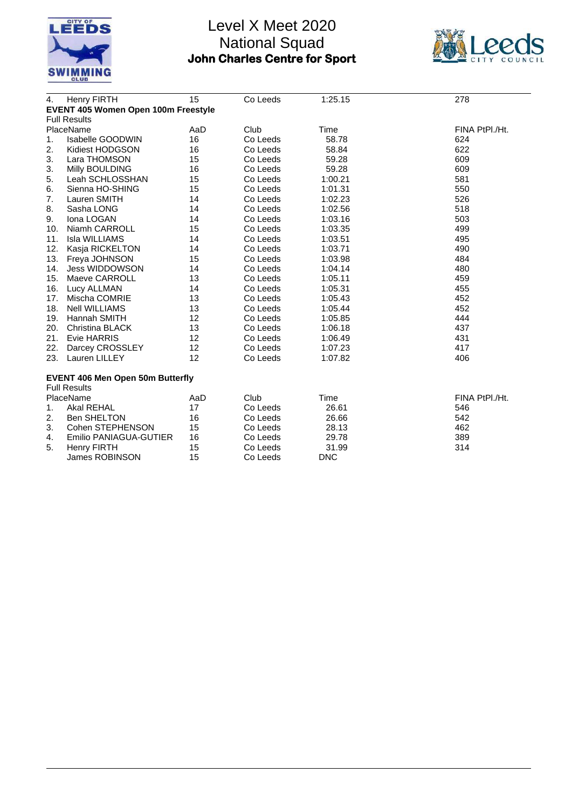



| 4.  | <b>Henry FIRTH</b>                         | 15  | Co Leeds | 1:25.15    | 278            |
|-----|--------------------------------------------|-----|----------|------------|----------------|
|     | <b>EVENT 405 Women Open 100m Freestyle</b> |     |          |            |                |
|     | <b>Full Results</b>                        |     |          |            |                |
|     | PlaceName                                  | AaD | Club     | Time       | FINA PtPI./Ht. |
| 1.  | Isabelle GOODWIN                           | 16  | Co Leeds | 58.78      | 624            |
| 2.  | Kidiest HODGSON                            | 16  | Co Leeds | 58.84      | 622            |
| 3.  | Lara THOMSON                               | 15  | Co Leeds | 59.28      | 609            |
| 3.  | Milly BOULDING                             | 16  | Co Leeds | 59.28      | 609            |
| 5.  | Leah SCHLOSSHAN                            | 15  | Co Leeds | 1:00.21    | 581            |
| 6.  | Sienna HO-SHING                            | 15  | Co Leeds | 1:01.31    | 550            |
| 7.  | Lauren SMITH                               | 14  | Co Leeds | 1:02.23    | 526            |
| 8.  | Sasha LONG                                 | 14  | Co Leeds | 1:02.56    | 518            |
| 9.  | Iona LOGAN                                 | 14  | Co Leeds | 1:03.16    | 503            |
| 10. | Niamh CARROLL                              | 15  | Co Leeds | 1:03.35    | 499            |
| 11. | Isla WILLIAMS                              | 14  | Co Leeds | 1:03.51    | 495            |
| 12. | Kasja RICKELTON                            | 14  | Co Leeds | 1:03.71    | 490            |
|     | 13. Freya JOHNSON                          | 15  | Co Leeds | 1:03.98    | 484            |
| 14. | Jess WIDDOWSON                             | 14  | Co Leeds | 1:04.14    | 480            |
|     | 15. Maeve CARROLL                          | 13  | Co Leeds | 1:05.11    | 459            |
|     | 16. Lucy ALLMAN                            | 14  | Co Leeds | 1:05.31    | 455            |
| 17. | Mischa COMRIE                              | 13  | Co Leeds | 1:05.43    | 452            |
| 18. | <b>Nell WILLIAMS</b>                       | 13  | Co Leeds | 1:05.44    | 452            |
|     | 19. Hannah SMITH                           | 12  | Co Leeds | 1:05.85    | 444            |
| 20. | <b>Christina BLACK</b>                     | 13  | Co Leeds | 1:06.18    | 437            |
|     | 21. Evie HARRIS                            | 12  | Co Leeds | 1:06.49    | 431            |
| 22. | Darcey CROSSLEY                            | 12  | Co Leeds | 1:07.23    | 417            |
|     | 23. Lauren LILLEY                          | 12  | Co Leeds | 1:07.82    | 406            |
|     | <b>EVENT 406 Men Open 50m Butterfly</b>    |     |          |            |                |
|     | <b>Full Results</b>                        |     |          |            |                |
|     | PlaceName                                  | AaD | Club     | Time       | FINA PtPI./Ht. |
| 1.  | Akal REHAL                                 | 17  | Co Leeds | 26.61      | 546            |
| 2.  | <b>Ben SHELTON</b>                         | 16  | Co Leeds | 26.66      | 542            |
| 3.  | Cohen STEPHENSON                           | 15  | Co Leeds | 28.13      | 462            |
| 4.  | Emilio PANIAGUA-GUTIER                     | 16  | Co Leeds | 29.78      | 389            |
| 5.  | <b>Henry FIRTH</b>                         | 15  | Co Leeds | 31.99      | 314            |
|     | James ROBINSON                             | 15  | Co Leeds | <b>DNC</b> |                |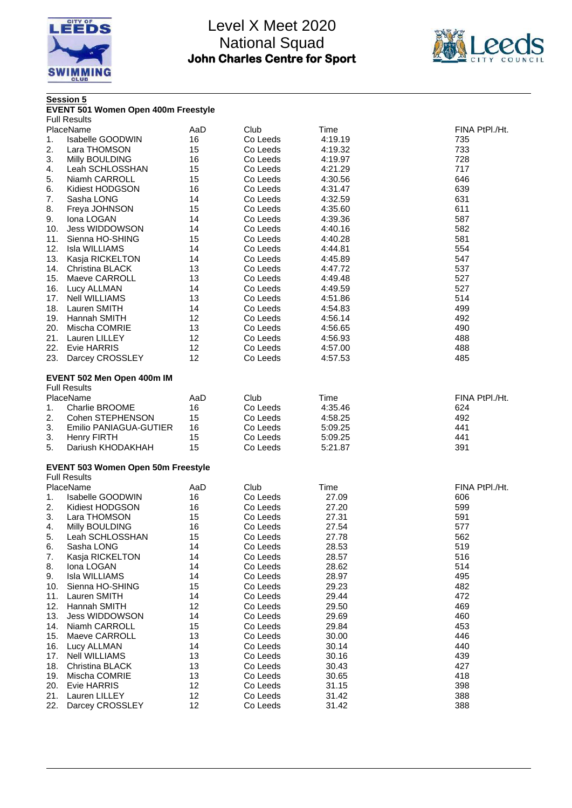



|     | <b>Session 5</b><br>EVENT 501 Women Open 400m Freestyle |     |          |         |                |
|-----|---------------------------------------------------------|-----|----------|---------|----------------|
|     | <b>Full Results</b>                                     |     |          |         |                |
|     | PlaceName                                               | AaD | Club     | Time    | FINA PtPI./Ht. |
| 1.  | Isabelle GOODWIN                                        | 16  | Co Leeds | 4:19.19 | 735            |
| 2.  | Lara THOMSON                                            | 15  | Co Leeds | 4:19.32 | 733            |
| 3.  | Milly BOULDING                                          | 16  | Co Leeds | 4:19.97 | 728            |
| 4.  | Leah SCHLOSSHAN                                         | 15  | Co Leeds | 4:21.29 | 717            |
| 5.  | Niamh CARROLL                                           | 15  | Co Leeds | 4:30.56 | 646            |
| 6.  | Kidiest HODGSON                                         | 16  | Co Leeds | 4:31.47 | 639            |
| 7.  | Sasha LONG                                              | 14  | Co Leeds | 4:32.59 | 631            |
|     |                                                         | 15  | Co Leeds | 4:35.60 | 611            |
| 8.  | Freya JOHNSON                                           |     |          |         |                |
| 9.  | Iona LOGAN                                              | 14  | Co Leeds | 4:39.36 | 587            |
| 10. | Jess WIDDOWSON                                          | 14  | Co Leeds | 4:40.16 | 582            |
| 11. | Sienna HO-SHING                                         | 15  | Co Leeds | 4:40.28 | 581            |
| 12. | Isla WILLIAMS                                           | 14  | Co Leeds | 4:44.81 | 554            |
| 13. | Kasja RICKELTON                                         | 14  | Co Leeds | 4:45.89 | 547            |
| 14. | Christina BLACK                                         | 13  | Co Leeds | 4:47.72 | 537            |
| 15. | Maeve CARROLL                                           | 13  | Co Leeds | 4:49.48 | 527            |
| 16. | Lucy ALLMAN                                             | 14  | Co Leeds | 4:49.59 | 527            |
| 17. | <b>Nell WILLIAMS</b>                                    | 13  | Co Leeds | 4:51.86 | 514            |
| 18. | Lauren SMITH                                            | 14  | Co Leeds | 4:54.83 | 499            |
| 19. | Hannah SMITH                                            | 12  | Co Leeds | 4:56.14 | 492            |
| 20. | Mischa COMRIE                                           | 13  | Co Leeds | 4:56.65 | 490            |
| 21. | Lauren LILLEY                                           | 12  | Co Leeds | 4:56.93 | 488            |
| 22. | Evie HARRIS                                             | 12  | Co Leeds | 4:57.00 | 488            |
| 23. | Darcey CROSSLEY                                         | 12  | Co Leeds | 4:57.53 | 485            |
|     |                                                         |     |          |         |                |
|     | EVENT 502 Men Open 400m IM                              |     |          |         |                |
|     | <b>Full Results</b>                                     |     |          |         |                |
|     | PlaceName                                               | AaD | Club     | Time    | FINA PtPI./Ht. |
| 1.  | Charlie BROOME                                          | 16  | Co Leeds | 4:35.46 | 624            |
| 2.  | Cohen STEPHENSON                                        | 15  | Co Leeds | 4:58.25 | 492            |
| 3.  | Emilio PANIAGUA-GUTIER                                  | 16  | Co Leeds | 5:09.25 | 441            |
| 3.  | <b>Henry FIRTH</b>                                      | 15  | Co Leeds | 5:09.25 | 441            |
| 5.  | Dariush KHODAKHAH                                       | 15  | Co Leeds | 5:21.87 | 391            |
|     | <b>EVENT 503 Women Open 50m Freestyle</b>               |     |          |         |                |
|     | <b>Full Results</b>                                     |     |          |         |                |
|     | PlaceName                                               | AaD | Club     | Time    | FINA PtPI./Ht. |
| 1.  | <b>Isabelle GOODWIN</b>                                 | 16  | Co Leeds | 27.09   | 606            |
| 2.  | Kidiest HODGSON                                         | 16  | Co Leeds | 27.20   | 599            |
| 3.  | Lara THOMSON                                            | 15  | Co Leeds | 27.31   | 591            |
| 4.  | Milly BOULDING                                          | 16  | Co Leeds | 27.54   | 577            |
| 5.  | Leah SCHLOSSHAN                                         | 15  | Co Leeds | 27.78   | 562            |
| 6.  | Sasha LONG                                              | 14  | Co Leeds | 28.53   | 519            |
| 7.  | Kasja RICKELTON                                         | 14  | Co Leeds | 28.57   | 516            |
|     |                                                         |     |          |         |                |
| 8.  | Iona LOGAN                                              | 14  | Co Leeds | 28.62   | 514            |
| 9.  | Isla WILLIAMS                                           | 14  | Co Leeds | 28.97   | 495            |
| 10. | Sienna HO-SHING                                         | 15  | Co Leeds | 29.23   | 482            |
| 11. | Lauren SMITH                                            | 14  | Co Leeds | 29.44   | 472            |
| 12. | Hannah SMITH                                            | 12  | Co Leeds | 29.50   | 469            |
| 13. | Jess WIDDOWSON                                          | 14  | Co Leeds | 29.69   | 460            |
| 14. | Niamh CARROLL                                           | 15  | Co Leeds | 29.84   | 453            |
| 15. | Maeve CARROLL                                           | 13  | Co Leeds | 30.00   | 446            |
| 16. | Lucy ALLMAN                                             | 14  | Co Leeds | 30.14   | 440            |
| 17. | <b>Nell WILLIAMS</b>                                    | 13  | Co Leeds | 30.16   | 439            |
| 18. | <b>Christina BLACK</b>                                  | 13  | Co Leeds | 30.43   | 427            |
| 19. | Mischa COMRIE                                           | 13  | Co Leeds | 30.65   | 418            |
| 20. | Evie HARRIS                                             | 12  | Co Leeds | 31.15   | 398            |
| 21. | Lauren LILLEY                                           | 12  | Co Leeds | 31.42   | 388            |
| 22. | Darcey CROSSLEY                                         | 12  | Co Leeds | 31.42   | 388            |